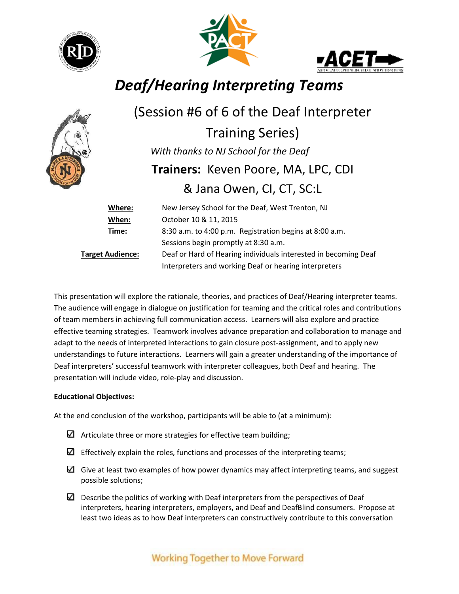





# *Deaf/Hearing Interpreting Teams*



## (Session #6 of 6 of the Deaf Interpreter

Training Series)  *With thanks to NJ School for the Deaf* **Trainers:** Keven Poore, MA, LPC, CDI & Jana Owen, CI, CT, SC:L

| Where:                  | New Jersey School for the Deaf, West Trenton, NJ                |
|-------------------------|-----------------------------------------------------------------|
| When:                   | October 10 & 11, 2015                                           |
| Time:                   | 8:30 a.m. to 4:00 p.m. Registration begins at 8:00 a.m.         |
|                         | Sessions begin promptly at 8:30 a.m.                            |
| <b>Target Audience:</b> | Deaf or Hard of Hearing individuals interested in becoming Deaf |
|                         | Interpreters and working Deaf or hearing interpreters           |

This presentation will explore the rationale, theories, and practices of Deaf/Hearing interpreter teams. The audience will engage in dialogue on justification for teaming and the critical roles and contributions of team members in achieving full communication access. Learners will also explore and practice effective teaming strategies. Teamwork involves advance preparation and collaboration to manage and adapt to the needs of interpreted interactions to gain closure post-assignment, and to apply new understandings to future interactions. Learners will gain a greater understanding of the importance of Deaf interpreters' successful teamwork with interpreter colleagues, both Deaf and hearing. The presentation will include video, role-play and discussion.

#### **Educational Objectives:**

At the end conclusion of the workshop, participants will be able to (at a minimum):

- $\Box$  Articulate three or more strategies for effective team building;
- $\Box$  Effectively explain the roles, functions and processes of the interpreting teams;
- $\Box$  Give at least two examples of how power dynamics may affect interpreting teams, and suggest possible solutions;
- $\Box$  Describe the politics of working with Deaf interpreters from the perspectives of Deaf interpreters, hearing interpreters, employers, and Deaf and DeafBlind consumers. Propose at least two ideas as to how Deaf interpreters can constructively contribute to this conversation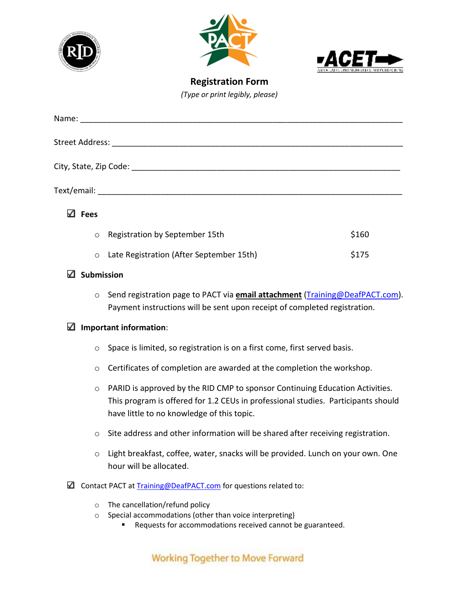





**Registration Form** *(Type or print legibly, please)*

| Name:            |                                |       |
|------------------|--------------------------------|-------|
|                  |                                |       |
|                  |                                |       |
|                  |                                |       |
|                  |                                |       |
|                  |                                |       |
|                  |                                |       |
|                  |                                |       |
| ✓<br><b>Fees</b> |                                |       |
|                  |                                |       |
| $\circ$          | Registration by September 15th | \$160 |

| ○ Late Registration (After September 15th) | \$175 |
|--------------------------------------------|-------|
|                                            |       |

#### **Submission**

o Send registration page to PACT via **email attachment** [\(Training@DeafPACT.com\)](mailto:Training@DeafPACT.com). Payment instructions will be sent upon receipt of completed registration.

#### **Important information**:

- o Space is limited, so registration is on a first come, first served basis.
- o Certificates of completion are awarded at the completion the workshop.
- $\circ$  PARID is approved by the RID CMP to sponsor Continuing Education Activities. This program is offered for 1.2 CEUs in professional studies. Participants should have little to no knowledge of this topic.
- $\circ$  Site address and other information will be shared after receiving registration.
- o Light breakfast, coffee, water, snacks will be provided. Lunch on your own. One hour will be allocated.
- $\Box$  Contact PACT at Training @DeafPACT.com for questions related to:
	- o The cancellation/refund policy
	- o Special accommodations (other than voice interpreting)
		- Requests for accommodations received cannot be guaranteed.